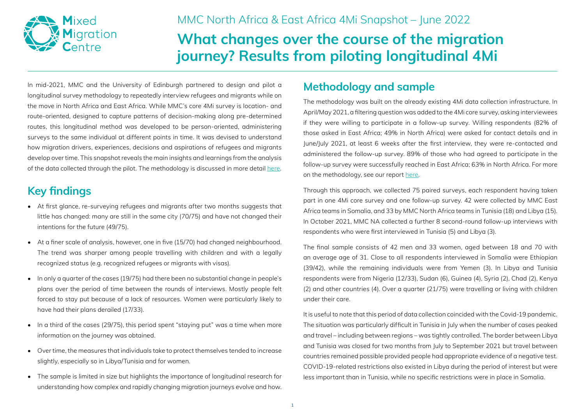

### MMC North Africa & East Africa 4Mi Snapshot – June 2022

# **What changes over the course of the migration journey? Results from piloting longitudinal 4Mi**

In mid-2021, MMC and the University of Edinburgh partnered to design and pilot a longitudinal survey methodology to repeatedly interview refugees and migrants while on the move in North Africa and East Africa. While MMC's core 4Mi survey is location- and route-oriented, designed to capture patterns of decision-making along pre-determined routes, this longitudinal method was developed to be person-oriented, administering surveys to the same individual at different points in time. It was devised to understand how migration drivers, experiences, decisions and aspirations of refugees and migrants develop over time. This snapshot reveals the main insights and learnings from the analysis of the data collected through the pilot. The methodology is discussed in more detail [here](https://mixedmigration.org/resource/longitudinal-research-with-people-on-the-move/).

# **Key findings**

- At first glance, re-surveying refugees and migrants after two months suggests that little has changed: many are still in the same city (70/75) and have not changed their intentions for the future (49/75).
- At a finer scale of analysis, however, one in five (15/70) had changed neighbourhood. The trend was sharper among people travelling with children and with a legally recognized status (e.g. recognized refugees or migrants with visas).
- In only a quarter of the cases (19/75) had there been no substantial change in people's plans over the period of time between the rounds of interviews. Mostly people felt forced to stay put because of a lack of resources. Women were particularly likely to have had their plans derailed (17/33).
- In a third of the cases (29/75), this period spent "staying put" was a time when more information on the journey was obtained.
- Over time, the measures that individuals take to protect themselves tended to increase slightly, especially so in Libya/Tunisia and for women.
- The sample is limited in size but highlights the importance of longitudinal research for understanding how complex and rapidly changing migration journeys evolve and how.

## **Methodology and sample**

The methodology was built on the already existing 4Mi data collection infrastructure. In April/May 2021, a filtering question was added to the 4Mi core survey, asking interviewees if they were willing to participate in a follow-up survey. Willing respondents (82% of those asked in East Africa; 49% in North Africa) were asked for contact details and in June/July 2021, at least 6 weeks after the first interview, they were re-contacted and administered the follow-up survey. 89% of those who had agreed to participate in the follow-up survey were successfully reached in East Africa; 63% in North Africa. For more on the methodology, see our report [here](https://mixedmigration.org/resource/longitudinal-research-with-people-on-the-move/).

Through this approach, we collected 75 paired surveys, each respondent having taken part in one 4Mi core survey and one follow-up survey. 42 were collected by MMC East Africa teams in Somalia, and 33 by MMC North Africa teams in Tunisia (18) and Libya (15). In October 2021, MMC NA collected a further 8 second-round follow-up interviews with respondents who were first interviewed in Tunisia (5) and Libya (3).

The final sample consists of 42 men and 33 women, aged between 18 and 70 with an average age of 31. Close to all respondents interviewed in Somalia were Ethiopian (39/42), while the remaining individuals were from Yemen (3). In Libya and Tunisia respondents were from Nigeria (12/33), Sudan (6), Guinea (4), Syria (2), Chad (2), Kenya (2) and other countries (4). Over a quarter (21/75) were travelling or living with children under their care.

It is useful to note that this period of data collection coincided with the Covid-19 pandemic. The situation was particularly difficult in Tunisia in July when the number of cases peaked and travel – including between regions – was tightly controlled. The border between Libya and Tunisia was closed for two months from July to September 2021 but travel between countries remained possible provided people had appropriate evidence of a negative test. COVID-19-related restrictions also existed in Libya during the period of interest but were less important than in Tunisia, while no specific restrictions were in place in Somalia.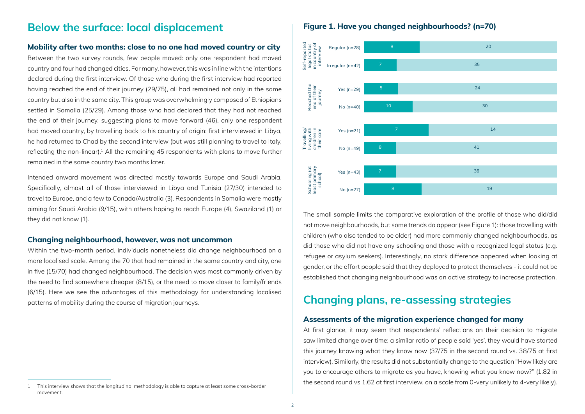### **Below the surface: local displacement**

#### **Mobility after two months: close to no one had moved country or city**

Between the two survey rounds, few people moved: only one respondent had moved country and four had changed cities. For many, however, this was in line with the intentions declared during the first interview. Of those who during the first interview had reported having reached the end of their journey (29/75), all had remained not only in the same country but also in the same city. This group was overwhelmingly composed of Ethiopians settled in Somalia (25/29). Among those who had declared that they had not reached the end of their journey, suggesting plans to move forward (46), only one respondent had moved country, by travelling back to his country of origin: first interviewed in Libya, he had returned to Chad by the second interview (but was still planning to travel to Italy, reflecting the non-linear). $<sup>1</sup>$  All the remaining 45 respondents with plans to move further</sup> remained in the same country two months later.

Intended onward movement was directed mostly towards Europe and Saudi Arabia. Specifically, almost all of those interviewed in Libya and Tunisia (27/30) intended to travel to Europe, and a few to Canada/Australia (3). Respondents in Somalia were mostly aiming for Saudi Arabia (9/15), with others hoping to reach Europe (4), Swaziland (1) or they did not know (1).

#### **Changing neighbourhood, however, was not uncommon**

Within the two-month period, individuals nonetheless did change neighbourhood on a more localised scale. Among the 70 that had remained in the same country and city, one in five (15/70) had changed neighbourhood. The decision was most commonly driven by the need to find somewhere cheaper (8/15), or the need to move closer to family/friends (6/15). Here we see the advantages of this methodology for understanding localised patterns of mobility during the course of migration journeys.

#### **Figure 1. Have you changed neighbourhoods? (n=70)**



The small sample limits the comparative exploration of the profile of those who did/did not move neighbourhoods, but some trends do appear (see Figure 1): those travelling with children (who also tended to be older) had more commonly changed neighbourhoods, as did those who did not have any schooling and those with a recognized legal status (e.g. refugee or asylum seekers). Interestingly, no stark difference appeared when looking at gender, or the effort people said that they deployed to protect themselves - it could not be established that changing neighbourhood was an active strategy to increase protection.

### **Changing plans, re-assessing strategies**

#### **Assessments of the migration experience changed for many**

At first glance, it may seem that respondents' reflections on their decision to migrate saw limited change over time: a similar ratio of people said 'yes', they would have started this journey knowing what they know now (37/75 in the second round vs. 38/75 at first interview). Similarly, the results did not substantially change to the question "How likely are you to encourage others to migrate as you have, knowing what you know now?" (1.82 in the second round vs 1.62 at first interview, on a scale from 0-very unlikely to 4-very likely).

<sup>1</sup> This interview shows that the longitudinal methodology is able to capture at least some cross-border movement.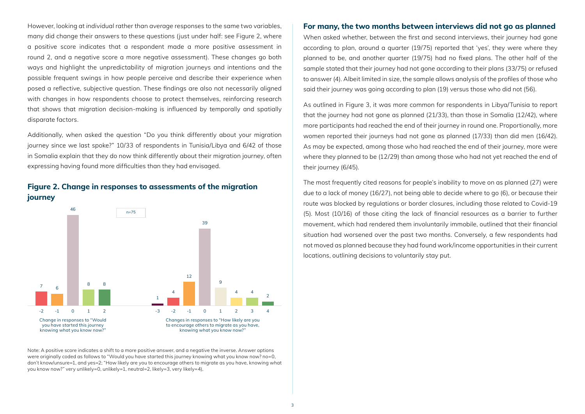However, looking at *individual* rather than *average* responses to the same two variables, many did change their answers to these questions (just under half: see Figure 2, where a positive score indicates that a respondent made a more positive assessment in round 2, and a negative score a more negative assessment). These changes go both ways and highlight the unpredictability of migration journeys and intentions and the possible frequent swings in how people perceive and describe their experience when posed a reflective, subjective question. These findings are also not necessarily aligned with changes in how respondents choose to protect themselves, reinforcing research that shows that migration decision-making is influenced by temporally and spatially disparate factors.

Additionally, when asked the question "Do you think differently about your migration journey since we last spoke?" 10/33 of respondents in Tunisia/Libya and 6/42 of those in Somalia explain that they do now think differently about their migration journey, often expressing having found more difficulties than they had envisaged.



### **Figure 2. Change in responses to assessments of the migration journey**

Note: A positive score indicates a shift to a more positive answer, and a negative the inverse. Answer options were originally coded as follows to "Would you have started this journey knowing what you know now? no=0, don't know/unsure=1, and yes=2; "How likely are you to encourage others to migrate as you have, knowing what you know now?" very unlikely=0, unlikely=1, neutral=2, likely=3, very likely=4),

#### **For many, the two months between interviews did not go as planned**

When asked whether, between the first and second interviews, their journey had gone according to plan, around a quarter (19/75) reported that 'yes', they were where they planned to be, and another quarter (19/75) had no fixed plans. The other half of the sample stated that their journey had not gone according to their plans (33/75) or refused to answer (4). Albeit limited in size, the sample allows analysis of the profiles of those who said their journey was going according to plan (19) versus those who did not (56).

As outlined in Figure 3, it was more common for respondents in Libya/Tunisia to report that the journey had not gone as planned (21/33), than those in Somalia (12/42), where more participants had reached the end of their journey in round one. Proportionally, more women reported their journeys had not gone as planned (17/33) than did men (16/42). As may be expected, among those who had reached the end of their journey, more were where they planned to be (12/29) than among those who had not yet reached the end of their journey (6/45).

The most frequently cited reasons for people's inability to move on as planned (27) were due to a lack of money (16/27), not being able to decide where to go (6), or because their route was blocked by regulations or border closures, including those related to Covid-19 (5). Most (10/16) of those citing the lack of financial resources as a barrier to further movement, which had rendered them involuntarily immobile, outlined that their financial situation had worsened over the past two months. Conversely, a few respondents had not moved as planned because they had found work/income opportunities in their current locations, outlining decisions to voluntarily stay put.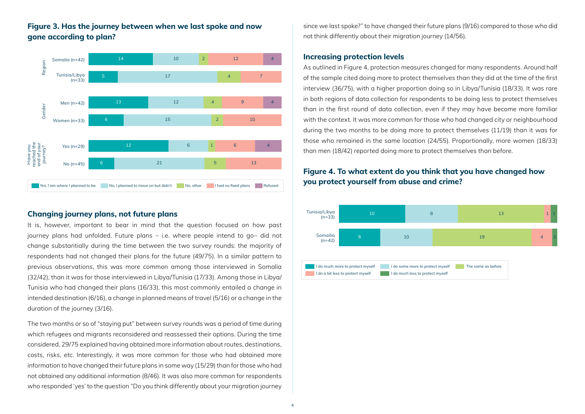### **Figure 3. Has the journey between when we last spoke and now gone according to plan?**



#### **Changing journey plans, not future plans**

It is, however, important to bear in mind that the question focused on how past journey plans had unfolded. Future plans – i.e. where people intend to go– did not change substantially during the time between the two survey rounds: the majority of respondents had not changed their plans for the future (49/75). In a similar pattern to previous observations, this was more common among those interviewed in Somalia (32/42), than it was for those interviewed in Libya/Tunisia (17/33). Among those in Libya/ Tunisia who had changed their plans (16/33), this most commonly entailed a change in intended destination (6/16), a change in planned means of travel (5/16) or a change in the duration of the journey (3/16).

The two months or so of "staying put" between survey rounds was a period of time during which refugees and migrants reconsidered and reassessed their options. During the time considered, 29/75 explained having obtained more information about routes, destinations, costs, risks, etc. Interestingly, it was more common for those who had obtained more information to have changed their future plans in some way (15/29) than for those who had not obtained any additional information (8/46). It was also more common for respondents who responded 'yes' to the question "Do you think differently about your migration journey since we last spoke?" to have changed their future plans (9/16) compared to those who did not think differently about their migration journey (14/56).

#### **Increasing protection levels**

As outlined in Figure 4, protection measures changed for many respondents. Around half of the sample cited doing more to protect themselves than they did at the time of the first interview (36/75), with a higher proportion doing so in Libya/Tunisia (18/33). It was rare in both regions of data collection for respondents to be doing less to protect themselves than in the first round of data collection, even if they may have become more familiar with the context. It was more common for those who had changed city or neighbourhood during the two months to be doing more to protect themselves (11/19) than it was for those who remained in the same location (24/55). Proportionally, more women (18/33) than men (18/42) reported doing more to protect themselves than before.

### **Figure 4. To what extent do you think that you have changed how you protect yourself from abuse and crime?**